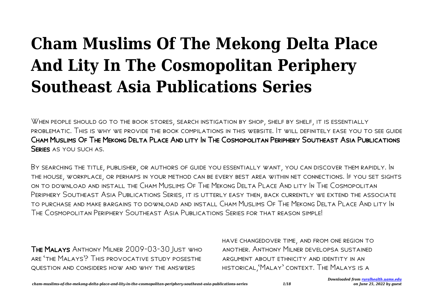# **Cham Muslims Of The Mekong Delta Place And Lity In The Cosmopolitan Periphery Southeast Asia Publications Series**

WHEN PEOPLE SHOULD GO TO THE BOOK STORES, SEARCH INSTIGATION BY SHOP, SHELF BY SHELF, IT IS ESSENTIALLY problematic. This is why we provide the book compilations in this website. It will definitely ease you to see guide Cham Muslims Of The Mekong Delta Place And lity In The Cosmopolitan Periphery Southeast Asia Publications Series as you such as.

By searching the title, publisher, or authors of guide you essentially want, you can discover them rapidly. In the house, workplace, or perhaps in your method can be every best area within net connections. If you set sights on to download and install the Cham Muslims Of The Mekong Delta Place And lity In The Cosmopolitan Periphery Southeast Asia Publications Series, it is utterly easy then, back currently we extend the associate to purchase and make bargains to download and install Cham Muslims Of The Mekong Delta Place And lity In The Cosmopolitan Periphery Southeast Asia Publications Series for that reason simple!

The Malays Anthony Milner 2009-03-30 Just who are 'the Malays'? This provocative study posesthe question and considers how and why the answers

have changedover time, and from one region to another. Anthony Milner developsa sustained argument about ethnicity and identity in an historical,'Malay' context. The Malays is a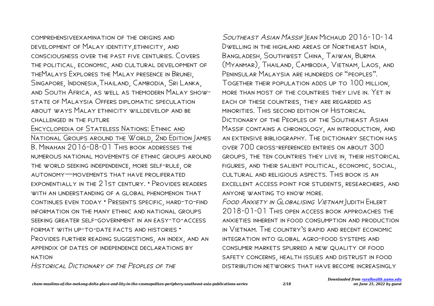comprehensiveexamination of the origins and development of Malay identity,ethnicity, and consciousness over the past five centuries. Covers the political, economic, and cultural development of theMalays Explores the Malay presence in Brunei, Singapore, Indonesia,Thailand, Cambodia, Sri Lanka, and South Africa, as well as themodern Malay show-STATE OF MALAYSIA OFFERS DIPLOMATIC SPECULATION about ways Malay ethnicity willdevelop and be challenged in the future Encyclopedia of Stateless Nations: Ethnic and National Groups around the World, 2nd Edition James B. Minahan 2016-08-01 This book addresses the numerous national movements of ethnic groups around the world seeking independence, more self-rule, or autonomy—movements that have proliferated exponentially in the 21st century. • Provides readers WITH AN UNDERSTANDING OF A GLOBAL PHENOMENON THAT continues even today • Presents specific, hard-to-find information on the many ethnic and national groups seeking greater self-government in an easy-to-access format with up-to-date facts and histories • PROVIDES FURTHER READING SUGGESTIONS, AN INDEX, AND AN appendix of dates of independence declarations by **NATION** 

Historical Dictionary of the Peoples of the

Southeast Asian Massif Jean Michaud 2016-10-14 DWELLING IN THE HIGHLAND AREAS OF NORTHEAST INDIA, Bangladesh, Southwest China, Taiwan, Burma (Myanmar), Thailand, Cambodia, Vietnam, Laos, and Peninsular Malaysia are hundreds of "peoples". Together their population adds up to 100 million, more than most of the countries they live in. Yet in each of these countries, they are regarded as minorities. This second edition of Historical Dictionary of the Peoples of the Southeast Asian Massif contains a chronology, an introduction, and an extensive bibliography. The dictionary section has over 700 cross-referenced entries on about 300 groups, the ten countries they live in, their historical figures, and their salient political, economic, social, cultural and religious aspects. This book is an excellent access point for students, researchers, and anyone wanting to know more. Food Anxiety in Globalising Vietnam Judith Ehlert 2018-01-01 This open access book approaches the anxieties inherent in food consumption and production in Vietnam. The country's rapid and recent economic integration into global agro-food systems and consumer markets spurred a new quality of food safety concerns, health issues and distrust in food distribution networks that have become increasingly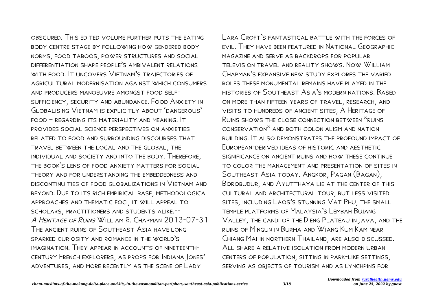obscured. This edited volume further puts the eating body centre stage by following how gendered body norms, food taboos, power structures and social differentiation shape people's ambivalent relations with food. It uncovers Vietnam's trajectories of agricultural modernisation against which consumers and producers manoeuvre amongst food selfsufficiency, security and abundance. Food Anxiety in Globalising Vietnam is explicitly about 'dangerous' food – regarding its materiality and meaning. It provides social science perspectives on anxieties related to food and surrounding discourses that travel between the local and the global, the individual and society and into the body. Therefore, the book's lens of food anxiety matters for social theory and for understanding the embeddedness and discontinuities of food globalizations in Vietnam and beyond. Due to its rich empirical base, methodological approaches and thematic foci, it will appeal to scholars, practitioners and students alike.-- A Heritage of Ruins William R. Chapman 2013-07-31 The ancient ruins of Southeast Asia have long sparked curiosity and romance in the world's imagination. They appear in accounts of nineteenthcentury French explorers, as props for Indiana Jones' adventures, and more recently as the scene of Lady

Lara Croft's fantastical battle with the forces of evil. They have been featured in National Geographic magazine and serve as backdrops for popular television travel and reality shows. Now William Chapman's expansive new study explores the varied roles these monumental remains have played in the histories of Southeast Asia's modern nations. Based on more than fifteen years of travel, research, and visits to hundreds of ancient sites, A Heritage of Ruins shows the close connection between "ruins conservation" and both colonialism and nation building. It also demonstrates the profound impact of European-derived ideas of historic and aesthetic SIGNIFICANCE ON ANCIENT RUINS AND HOW THESE CONTINUE to color the management and presentation of sites in Southeast Asia today. Angkor, Pagan (Bagan), Borobudur, and Ayutthaya lie at the center of this cultural and architectural tour, but less visited sites, including Laos's stunning Vat Phu, the small temple platforms of Malaysia's Lembah Bujang Valley, the candi of the Dieng Plateau in Java, and the ruins of Mingun in Burma and Wiang Kum Kam near Chiang Mai in northern Thailand, are also discussed. All share a relative isolation from modern urban centers of population, sitting in park-like settings, serving as objects of tourism and as lynchpins for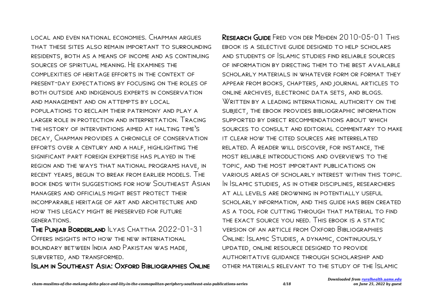local and even national economies. Chapman argues that these sites also remain important to surrounding residents, both as a means of income and as continuing sources of spiritual meaning. He examines the complexities of heritage efforts in the context of present-day expectations by focusing on the roles of both outside and indigenous experts in conservation and management and on attempts by local populations to reclaim their patrimony and play a larger role in protection and interpretation. Tracing THE HISTORY OF INTERVENTIONS AIMED AT HAI TING TIME'S decay, Chapman provides a chronicle of conservation efforts over a century and a half, highlighting the significant part foreign expertise has played in the region and the ways that national programs have, in recent years, begun to break from earlier models. The book ends with suggestions for how Southeast Asian managers and officials might best protect their incomparable heritage of art and architecture and how this legacy might be preserved for future generations.

THE PUNJAB BORDERLAND ILYAS CHATTHA 2022-01-31 Offers insights into how the new international boundary between India and Pakistan was made, subverted, and transformed.

#### Islam in Southeast Asia: Oxford Bibliographies Online

Research Guide Fred von der Mehden 2010-05-01 This ebook is a selective guide designed to help scholars and students of Islamic studies find reliable sources OF INFORMATION BY DIRECTING THEM TO THE REST AVAILABLE SCHOLARLY MATERIALS IN WHATEVER FORM OR FORMAT THEY appear from books, chapters, and journal articles to online archives, electronic data sets, and blogs. WRITTEN BY A LEADING INTERNATIONAL AUTHORITY ON THE subject, the ebook provides bibliographic information supported by direct recommendations about which sources to consult and editorial commentary to make it clear how the cited sources are interrelated related. A reader will discover, for instance, the most reliable introductions and overviews to the topic, and the most important publications on various areas of scholarly interest within this topic. In Islamic studies, as in other disciplines, researchers at all levels are drowning in potentially useful scholarly information, and this guide has been created as a tool for cutting through that material to find the exact source you need. This ebook is a static version of an article from Oxford Bibliographies Online: Islamic Studies, a dynamic, continuously updated, online resource designed to provide authoritative guidance through scholarship and other materials relevant to the study of the Islamic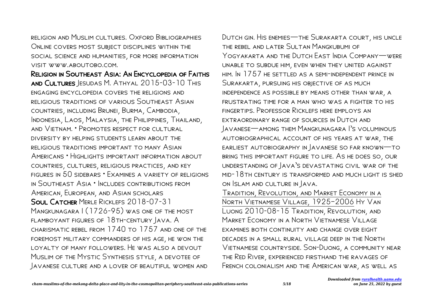religion and Muslim cultures. Oxford Bibliographies Online covers most subject disciplines within the social science and humanities, for more information visit www.aboutobo.com.

Religion in Southeast Asia: An Encyclopedia of Faiths and Cultures Jesudas M. Athyal 2015-03-10 This engaging encyclopedia covers the religions and religious traditions of various Southeast Asian countries, including Brunei, Burma, Cambodia, Indonesia, Laos, Malaysia, the Philippines, Thailand, and VIETNAM. • PROMOTES RESPECT FOR CULTURAL diversity by helping students learn about the religious traditions important to many Asian Americans • Highlights important information about countries, cultures, religious practices, and key figures in 50 sidebars • Examines a variety of religions in Southeast Asia • Includes contributions from American, European, and Asian scholars Soul Catcher Merle Ricklefs 2018-07-31 Mangkunagara I (1726-95) was one of the most flamboyant figures of 18th-century Java. A charismatic rebel from 1740 to 1757 and one of the foremost military commanders of his age, he won the loyalty of many followers. He was also a devout MUSLIM OF THE MYSTIC SYNTHESIS STYLE, A DEVOTEE OF Javanese culture and a lover of beautiful women and

Dutch gin. His enemies—the Surakarta court, his uncle the rebel and later Sultan Mangkubumi of Yogyakarta and the Dutch East India Company—were unable to subdue him, even when they united against him. In 1757 he settled as a semi-independent prince in Surakarta, pursuing his objective of as much independence as possible by means other than war, a frustrating time for a man who was a fighter to his fingertips. Professor Ricklefs here employs an extraordinary range of sources in Dutch and Javanese—among them Mangkunagara I's voluminous autobiographical account of his years at war, the earliest autobiography in Javanese so far known—to bring this important figure to life. As he does so, our understanding of Java's devastating civil war of the mid-18th century is transformed and much light is shed on Islam and culture in Java.

Tradition, Revolution, and Market Economy in a North Vietnamese Village, 1925–2006 Hy Van Luong 2010-08-15 Tradition, Revolution, and Market Economy in a North Vietnamese Village examines both continuity and change over eight decades in a small rural village deep in the North Vietnamese countryside. Son-Duong, a community near the Red River, experienced firsthand the ravages of French colonialism and the American war, as well as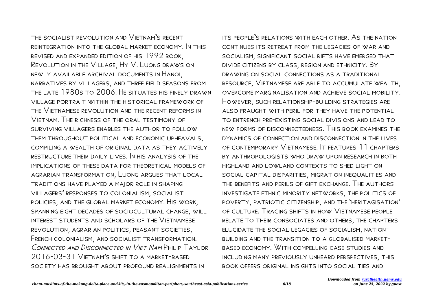the socialist revolution and Vietnam's recent reintegration into the global market economy. In this revised and expanded edition of his 1992 book, Revolution in the Village, Hy V. Luong draws on newly available archival documents in Hanoi, narratives by villagers, and three field seasons from the late 1980s to 2006. He situates his finely drawn village portrait within the historical framework of the Vietnamese revolution and the recent reforms in Vietnam. The richness of the oral testimony of surviving villagers enables the author to follow them throughout political and economic upheavals, compiling a wealth of original data as they actively restructure their daily lives. In his analysis of the implications of these data for theoretical models of agrarian transformation, Luong argues that local traditions have played a major role in shaping villagers' responses to colonialism, socialist policies, and the global market economy. His work, spanning eight decades of sociocultural change, will interest students and scholars of the Vietnamese revolution, agrarian politics, peasant societies, French colonialism, and socialist transformation. Connected and Disconnected in Viet Nam Philip Taylor 2016-03-31 Vietnam's shift to a market-based society has brought about profound realignments in

its people's relations with each other. As the nation continues its retreat from the legacies of war and socialism, significant social rifts have emerged that divide citizens by class, region and ethnicity. By drawing on social connections as a traditional resource, Vietnamese are able to accumulate wealth, overcome marginalisation and achieve social mobility. However, such relationship-building strategies are also fraught with peril for they have the potential to entrench pre-existing social divisions and lead to new forms of disconnectedness. This book examines the dynamics of connection and disconnection in the lives of contemporary Vietnamese. It features 11 chapters by anthropologists who draw upon research in both highland and lowland contexts to shed light on social capital disparities, migration inequalities and the benefits and perils of gift exchange. The authors investigate ethnic minority networks, the politics of poverty, patriotic citizenship, and the 'heritagisation' OF CULTURE. TRACING SHIFTS IN HOW VIETNAMESE PEOPLE relate to their consociates and others, the chapters elucidate the social legacies of socialism, nationbuilding and the transition to a globalised marketbased economy. With compelling case studies and including many previously unheard perspectives, this book offers original insights into social ties and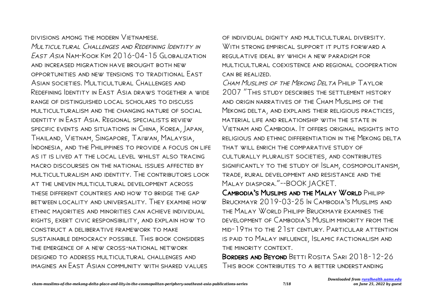divisions among the modern Vietnamese. MULTICULTURAL CHALLENGES AND REDEFINING IDENTITY IN East Asia Nam-Kook Kim 2016-04-15 Globalization and increased migration have brought both new opportunities and new tensions to traditional East ASIAN SOCIETIES. MULTICULTURAL CHALLENGES AND Redefining Identity in East Asia draws together a wide range of distinguished local scholars to discuss multiculturalism and the changing nature of social identity in East Asia. Regional specialists review specific events and situations in China, Korea, Japan, Thailand, Vietnam, Singapore, Taiwan, Malaysia, Indonesia, and the Philippines to provide a focus on life as it is lived at the local level whilst also tracing macro discourses on the national issues affected by multiculturalism and identity. The contributors look at the uneven multicultural development across these different countries and how to bridge the gap between locality and universality. They examine how ethnic majorities and minorities can achieve individual rights, exert civic responsibility, and explain how to construct a deliberative framework to make sustainable democracy possible. This book considers the emergence of a new cross-national network DESIGNED TO ADDRESS MULTICULTURAL CHALLENGES AND imagines an East Asian community with shared values

OF INDIVIDUAL DIGNITY AND MULTICULTURAL DIVERSITY. WITH STRONG EMPIRICAL SUPPORT IT PUTS FORWARD A regulative ideal by which a new paradigm for multicultural coexistence and regional cooperation can be realized.

CHAM MUSLIMS OF THE MEKONG DELTA PHILIP TAYLOR 2007 "THIS STUDY DESCRIBES THE SETTI EMENT HISTORY and origin narratives of the Cham Muslims of the Mekong delta, and explains their religious practices, material life and relationship with the state in Vietnam and Cambodia. It offers original insights into RELIGIOUS AND ETHNIC DIFFERENTIATION IN THE MEKONG DFI TA that will enrich the comparative study of culturally pluralist societies, and contributes significantly to the study of Islam, cosmopolitanism, trade, rural development and resistance and the Malay diaspora."--BOOK JACKET.

Cambodia's Muslims and the Malay World Philipp Bruckmayr 2019-03-25 In Cambodia's Muslims and the Malay World Philipp Bruckmayr examines the development of Cambodia's Muslim minority from the mid-19th to the 21st century. Particular attention is paid to Malay influence, Islamic factionalism and the minority context.

Borders and Beyond Betti Rosita Sari 2018-12-26 This book contributes to a better understanding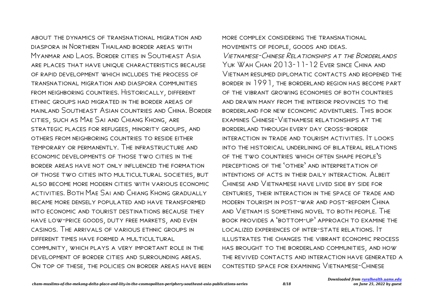about the dynamics of transnational migration and diaspora in Northern Thailand border areas with Myanmar and Laos. Border cities in Southeast Asia are places that have unique characteristics because of rapid development which includes the process of transnational migration and diaspora communities from neighboring countries. Historically, different ethnic groups had migrated in the border areas of mainland Southeast Asian countries and China. Border cities, such as Mae Sai and Chiang Khong, are strategic places for refugees, minority groups, and others from neighboring countries to reside either temporary or permanently. The infrastructure and economic developments of those two cities in the border areas have not only influenced the formation of those two cities into multicultural societies, but also become more modern cities with various economic activities. Both Mae Sai and Chiang Khong gradually became more densely populated and have transformed into economic and tourist destinations because they have low-price goods, duty free markets, and even casinos. The arrivals of various ethnic groups in different times have formed a multicultural community, which plays a very important role in the development of border cities and surrounding areas. On top of these, the policies on border areas have been

more complex considering the transnational movements of people, goods and ideas. Vietnamese-Chinese Relationships at the Borderlands Yuk Wah Chan 2013-11-12 Ever since China and Vietnam resumed diplomatic contacts and reopened the border in 1991, the borderland region has become part of the vibrant growing economies of both countries and drawn many from the interior provinces to the borderland for new economic adventures. This book examines Chinese-Vietnamese relationships at the borderland through every day cross-border interaction in trade and tourism activities. It looks into the historical underlining of bilateral relations of the two countries which often shape people's perceptions of the 'other' and interpretation of intentions of acts in their daily interaction. Albeit Chinese and Vietnamese have lived side by side for centuries, their interaction in the space of trade and modern tourism in post-war and post-reform China and Vietnam is something novel to both people. The book provides a 'bottom-up' approach to examine the localized experiences of inter-state relations. It illustrates the changes the vibrant economic process has brought to the borderland communities, and how the revived contacts and interaction have generated a contested space for examining Vietnamese-Chinese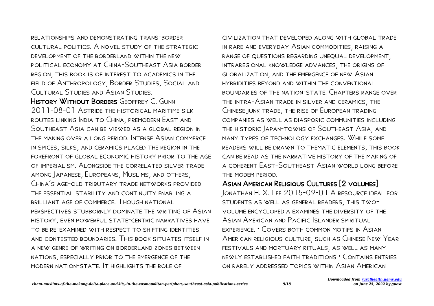relationships and demonstrating trans-border cultural politics. A novel study of the strategic development of the borderland within the new political economy at China-Southeast Asia border region, this book is of interest to academics in the field of Anthropology, Border Studies, Social and CULTURAL STUDIES AND ASIAN STUDIES.

HISTORY WITHOUT BORDERS GEOFFREY C. GUNN 2011-08-01 Astride the historical maritime silk routes linking India to China, premodern East and Southeast Asia can be viewed as a global region in the making over a long period. Intense Asian commerce in spices, silks, and ceramics placed the region in the forefront of global economic history prior to the age of imperialism. Alongside the correlated silver trade among Japanese, Europeans, Muslims, and others, China's age-old tributary trade networks provided the essential stability and continuity enabling a brilliant age of commerce. Though national perspectives stubbornly dominate the writing of Asian history, even powerful state-centric narratives have to be re-examined with respect to shifting identities and contested boundaries. This book situates itself in a new genre of writing on borderland zones between nations, especially prior to the emergence of the modern nation-state. It highlights the role of

civilization that developed along with global trade in rare and everyday Asian commodities, raising a range of questions regarding unequal development, intraregional knowledge advances, the origins of globalization, and the emergence of new Asian hybridities beyond and within the conventional boundaries of the nation-state. Chapters range over the intra-Asian trade in silver and ceramics, the Chinese junk trade, the rise of European trading companies as well as diasporic communities including the historic Japan-towns of Southeast Asia, and MANY TYPES OF TECHNOLOGY EXCHANGES. WHILE SOME readers will be drawn to thematic elements, this book can be read as the narrative history of the making of a coherent East-Southeast Asian world long before the modem period.

## Asian American Religious Cultures [2 volumes]

Jonathan H. X. Lee 2015-09-01 A resource ideal for students as well as general readers, this twovolume encyclopedia examines the diversity of the Asian American and Pacific Islander spiritual experience. • Covers both common motifs in Asian American religious culture, such as Chinese New Year festivals and mortuary rituals, as well as many newly established faith traditions • Contains entries on rarely addressed topics within Asian American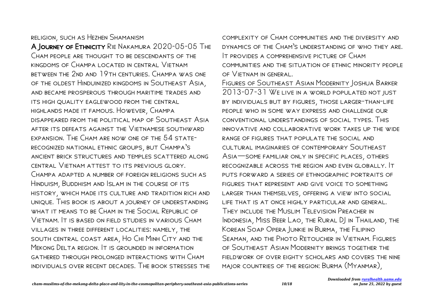#### religion, such as Hezhen Shamanism

A Journey of Ethnicity Rie Nakamura 2020-05-05 The Cham people are thought to be descendants of the kingdoms of Champa located in central Vietnam between the 2nd and 19th centuries. Champa was one of the oldest Hinduinized kingdoms in Southeast Asia, and became prosperous through maritime trades and its high quality eaglewood from the central highlands made it famous. However, Champa disappeared from the political map of Southeast Asia after its defeats against the Vietnamese southward expansion. The Cham are now one of the 54 staterecognized national ethnic groups, but Champa's ancient brick structures and temples scattered along central Vietnam attest to its previous glory. Champa adapted a number of foreign religions such as Hinduism, Buddhism and Islam in the course of its history, which made its culture and tradition rich and unique. This book is about a journey of understanding WHAT IT MEANS TO BE CHAM IN THE SOCIAL REPUBLIC OF Vietnam. It is based on field studies in various Cham villages in three different localities: namely, the south central coast area, Ho Chi Minh City and the Mekong Delta region. It is grounded in information gathered through prolonged interactions with Cham individuals over recent decades. The book stresses the

complexity of Cham communities and the diversity and dynamics of the Cham's understanding of who they are. It provides a comprehensive picture of Cham communities and the situation of ethnic minority people of Vietnam in general.

Figures of Southeast Asian Modernity Joshua Barker 2013-07-31 We live in a world populated not just by individuals but by figures, those larger-than-life people who in some way express and challenge our conventional understandings of social types. This innovative and collaborative work takes up the wide range of figures that populate the social and cultural imaginaries of contemporary Southeast Asia—some familiar only in specific places, others recognizable across the region and even globally. It puts forward a series of ethnographic portraits of figures that represent and give voice to something larger than themselves, offering a view into social life that is at once highly particular and general. They include the Muslim Television Preacher in Indonesia, Miss Beer Lao, the Rural DJ in Thailand, the Korean Soap Opera Junkie in Burma, the Filipino Seaman, and the Photo Retoucher in Vietnam. Figures of Southeast Asian Modernity brings together the fieldwork of over eighty scholars and covers the nine major countries of the region: Burma (Myanmar),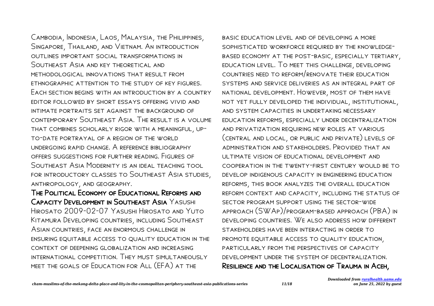Cambodia, Indonesia, Laos, Malaysia, the Philippines, Singapore, Thailand, and Vietnam. An introduction outlines important social transformations in Southeast Asia and key theoretical and METHODOLOGICAL INNOVATIONS THAT RESULT FROM ethnographic attention to the study of key figures. Each section begins with an introduction by a country editor followed by short essays offering vivid and intimate portraits set against the background of contemporary Southeast Asia. The result is a volume that combines scholarly rigor with a meaningful, upto-date portrayal of a region of the world undergoing rapid change. A reference bibliography offers suggestions for further reading. Figures of Southeast Asia Modernity is an ideal teaching tool for introductory classes to Southeast Asia studies, anthropology, and geography.

The Political Economy of Educational Reforms and Capacity Development in Southeast Asia Yasushi Hirosato 2009-02-07 Yasushi Hirosato and Yuto Kitamura Developing countries, including Southeast Asian countries, face an enormous challenge in ensuring equitable access to quality education in the context of deepening globalization and increasing international competition. They must simultaneously meet the goals of Education for All (EFA) at the

basic education level and of developing a more sophisticated workforce required by the knowledgebased economy at the post-basic, especially tertiary, education level. To meet this challenge, developing countries need to reform/renovate their education systems and service deliveries as an integral part of national development. However, most of them have not yet fully developed the individual, institutional, and system capacities in undertaking necessary education reforms, especially under decentralization and privatization requiring new roles at various (central and local, or public and private) levels of administration and stakeholders. Provided that an ULTIMATE VISION OF EDUCATIONAL DEVELOPMENT AND cooperation in the twenty-first century would be to develop indigenous capacity in engineering education reforms, this book analyzes the overall education reform context and capacity, including the status of sector program support using the sector-wide approach (SWAp)/program-based approach (PBA) in developing countries. We also address how different stakeholders have been interacting in order to promote equitable access to quality education, particularly from the perspectives of capacity development under the system of decentralization. Resilience and the Localisation of Trauma in Aceh,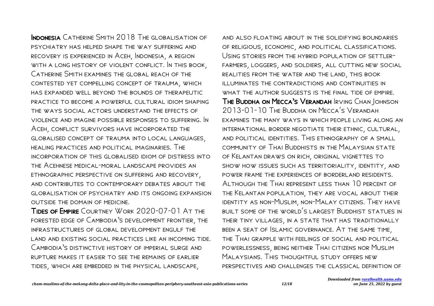INDONESIA CATHERINE SMITH 2018 THE GLOBALISATION OF psychiatry has helped shape the way suffering and recovery is experienced in Aceh, Indonesia, a region with a long history of violent conflict. In this book, Catherine Smith examines the global reach of the contested yet compelling concept of trauma, which has expanded well beyond the bounds of therapeutic practice to become a powerful cultural idiom shaping the ways social actors understand the effects of violence and imagine possible responses to suffering. In Aceh, conflict survivors have incorporated the globalised concept of trauma into local languages, healing practices and political imaginaries. The incorporation of this globalised idiom of distress into the Acehnese medical-moral landscape provides an ethnographic perspective on suffering and recovery, and contributes to contemporary debates about the globalisation of psychiatry and its ongoing expansion outside the domain of medicine.

Tides of Empire Courtney Work 2020-07-01 At the forested edge of Cambodia's development frontier, the infrastructures of global development engulf the land and existing social practices like an incoming tide. Cambodia's distinctive history of imperial surge and rupture makes it easier to see the remains of earlier tides, which are embedded in the physical landscape,

and also floating about in the solidifying boundaries of religious, economic, and political classifications. Using stories from the hybrid population of settlerfarmers, loggers, and soldiers, all cutting new social realities from the water and the land, this book illuminates the contradictions and continuities in WHAT THE AUTHOR SUGGESTS IS THE FINAL TIDE OF EMPIRE. THE BUDDHA ON MECCA'S VERANDAH IRVING CHAN JOHNSON 2013-01-10 THE BUDDHA ON MECCA'S VERANDAH examines the many ways in which people living along an international border negotiate their ethnic, cultural, and political identities. This ethnography of a small community of Thai Buddhists in the Malaysian state of Kelantan draws on rich, original vignettes to show how issues such as territoriality, identity, and power frame the experiences of borderland residents. Although the Thai represent less than 10 percent of the Kelantan population, they are vocal about their identity as non-Muslim, non-Malay citizens. They have built some of the world's largest Buddhist statues in their tiny villages, in a state that has traditionally been a seat of Islamic governance. At the same time, the Thai grapple with feelings of social and political powerlessness, being neither Thai citizens nor Muslim Malaysians. This thoughtful study offers new perspectives and challenges the classical definition of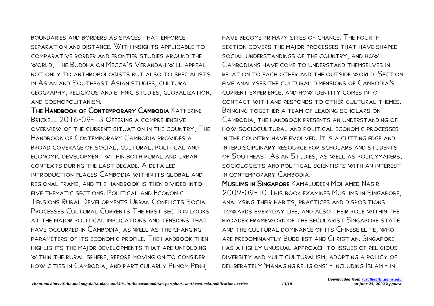boundaries and borders as spaces that enforce separation and distance. With insights applicable to comparative border and frontier studies around the world, The Buddha on Mecca's Verandah will appeal not only to anthropologists but also to specialists in Asian and Southeast Asian studies, cultural geography, religious and ethnic studies, globalization, and cosmopolitanism.

The Handbook of Contemporary Cambodia Katherine Brickell 2016-09-13 Offering a comprehensive overview of the current situation in the country, The Handrook of Contemporary Camrodia provides a broad coverage of social, cultural, political and economic development within both rural and urban contexts during the last decade. A detailed introduction places Cambodia within its global and regional frame, and the handbook is then divided into five thematic sections: Political and Economic Tensions Rural Developments Urban Conflicts Social Processes Cultural Currents The first section looks at the major political implications and tensions that have occurred in Cambodia, as well as the changing parameters of its economic profile. The handbook then highlights the major developments that are unfolding within the rural sphere, before moving on to consider how cities in Cambodia, and particularly Phnom Penh,

have become primary sites of change. The fourth section covers the major processes that have shaped social understandings of the country, and how Cambodians have come to understand themselves in relation to each other and the outside world. Section five analyses the cultural dimensions of Cambodia's current experience, and how identity comes into contact with and responds to other cultural themes. Bringing together a team of leading scholars on Cambodia, the handbook presents an understanding of how sociocultural and political economic processes in the country have evolved. It is a cutting edge and interdisciplinary resource for scholars and students of Southeast Asian Studies, as well as policymakers, sociologists and political scientists with an interest in contemporary Cambodia.

Muslims in Singapore Kamaludeen Mohamed Nasir 2009-09-10 This book examines Muslims in Singapore, analysing their habits, practices and dispositions towards everyday life, and also their role within the broader framework of the secularist Singapore state and the cultural dominance of its Chinese elite, who are predominantly Buddhist and Christian. Singapore has a highly unusual approach to issues of religious diversity and multiculturalism, adopting a policy of deliberately 'managing religions' - including Islam - in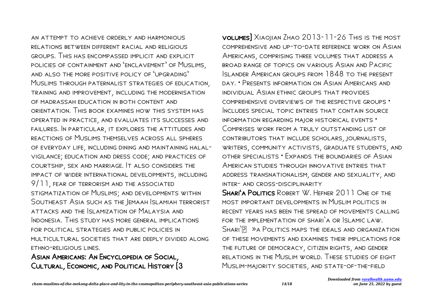an attempt to achieve orderly and harmonious relations between different racial and religious groups. This has encompassed implicit and explicit policies of containment and 'enclavement' of Muslims, and also the more positive policy of 'upgrading' Muslims through paternalist strategies of education, training and improvement, including the modernisation of madrassah education in both content and orientation. This book examines how this system has operated in practice, and evaluates its successes and failures. In particular, it explores the attitudes and reactions of Muslims themselves across all spheres of everyday life, including dining and maintaining halalvigilance; education and dress code; and practices of courtship, sex and marriage. It also considers the impact of wider international developments, including 9/11, FEAR OF TERRORISM AND THE ASSOCIATED stigmatization of Muslims; and developments within Southeast Asia such as the Jemaah Islamiah terrorist attacks and the Islamization of Malaysia and Indonesia. This study has more general implications for political strategies and public policies in multicultural societies that are deeply divided along ethno-religious lines.

## Asian Americans: An Encyclopedia of Social, Cultural, Economic, and Political History [3

volumes] Xiaojian Zhao 2013-11-26 This is the most comprehensive and up-to-date reference work on Asian Americans, comprising three volumes that address a broad range of topics on various Asian and Pacific Islander American groups from 1848 to the present day. • Presents information on Asian Americans and individual Asian ethnic groups that provides comprehensive overviews of the respective groups • Includes special topic entries that contain source information regarding major historical events • Comprises work from a truly outstanding list of contributors that include scholars, journalists, writers, community activists, graduate students, and other specialists • Expands the boundaries of Asian American studies through innovative entries that address transnationalism, gender and sexuality, and inter- and cross-disciplinarity

SHARI<sup>'</sup>A POLITICS ROBERT W. HEENER 2011 ONE OF THE most important developments in Muslim politics in recent years has been the spread of movements calling for the implementation of shari`a or Islamic law. SHARI<sup>'</sup> > > A POLITICS MAPS THE IDEALS AND ORGANIZATION of these movements and examines their implications for the future of democracy, citizen rights, and gender relations in the Muslim world. These studies of eight Muslim-majority societies, and state-of-the-field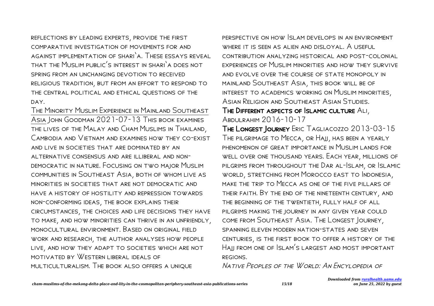reflections by leading experts, provide the first comparative investigation of movements for and against implementation of shari`a. These essays reveal that the Muslim public's interest in shari`a does not spring from an unchanging devotion to received religious tradition, but from an effort to respond to the central political and ethical questions of the  $\mathsf{DAY}$ 

The Minority Muslim Experience in Mainland Southeast Asia John Goodman 2021-07-13 This book examines the lives of the Malay and Cham Muslims in Thailand, Cambodia and Vietnam and examines how they co-exist and live in societies that are dominated by an alternative consensus and are illiberal and nondemocratic in nature. Focusing on two major Muslim communities in Southeast Asia, both of whom live as minorities in societies that are not democratic and have a history of hostility and repression towards non-conforming ideas, the book explains their circumstances, the choices and life decisions they have to make, and how minorities can thrive in an unfriendly, monocultural environment. Based on original field work and research, the author analyses how people LIVE, AND HOW THEY ADAPT TO SOCIETIES WHICH ARE NOT motivated by Western liberal ideals of multiculturalism. The book also offers a unique

perspective on how Islam develops in an environment where it is seen as alien and disloyal. A useful contribution analyzing historical and post-colonial experiences of Muslim minorities and how they survive and evolve over the course of state monopoly in mainland Southeast Asia, this book will be of interest to academics working on Muslim minorities, Asian Religion and Southeast Asian Studies.

The Different aspects of Islamic culture Ali, Abdulrahim 2016-10-17

The Longest Journey Eric Tagliacozzo 2013-03-15 The pilgrimage to Mecca, or Hajj, has been a yearly phenomenon of great importance in Muslim lands for well over one thousand years. Each year, millions of pilgrims from throughout the Dar al-Islam, or Islamic world, stretching from Morocco east to Indonesia, make the trip to Mecca as one of the five pillars of their faith. By the end of the nineteenth century, and the beginning of the twentieth, fully half of all pilgrims making the journey in any given year could come from Southeast Asia. The Longest Journey, spanning eleven modern nation-states and seven centuries, is the first book to offer a history of the Hajj from one of Islam's largest and most important regions.

Native Peoples of the World: An Encylopedia of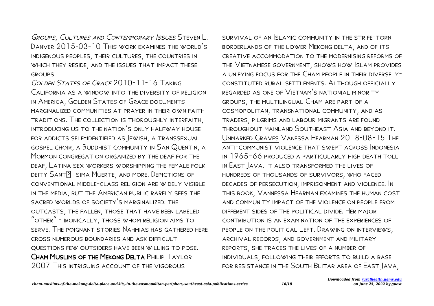Groups, Cultures and Contemporary Issues Steven L. Danver 2015-03-10 This work examines the world's indigenous peoples, their cultures, the countries in which they reside, and the issues that impact these groups.

GOLDEN STATES OF GRACE 2010-11-16 TAKING California as a window into the diversity of religion in America, Golden States of Grace documents marginalized communities at prayer in their own faith traditions. The collection is thoroughly interfaith, introducing us to the nation's only halfway house for addicts self-identified as Jewish, a transsexual gospel choir, a Buddhist community in San Quentin, a MORMON CONGREGATION ORGANIZED BY THE DEAF FOR THE deaf, Latina sex workers worshipping the female folk DEITY SANT<sup>[2]</sup> SIMA MUERTE, AND MORE. DEPICTIONS OF conventional middle-class religion are widely visible in the media, but the American public rarely sees the sacred worlds of society's marginalized: the outcasts, the fallen, those that have been labeled "other" - ironically, those whom religion aims to serve. The poignant stories Nahmias has gathered here cross numerous boundaries and ask difficult questions few outsiders have been willing to pose. CHAM MUSLIMS OF THE MEKONG DELTA PHILIP TAYLOR 2007 This intriguing account of the vigorous

survival of an Islamic community in the strife-torn borderlands of the lower Mekong delta, and of its creative accommodation to the modernising reforms of the Vietnamese government, shows how Islam provides a unifying focus for the Cham people in their diverselyconstituted rural settlements. Although officially regarded as one of Vietnam's nationial minority groups, the multilingual Cham are part of a cosmopolitan, transnational community, and as traders, pilgrims and labour migrants are found throughout mainland Southeast Asia and beyond it. Unmarked Graves Vanessa Hearman 2018-08-15 The anti-communist violence that swept across Indonesia in 1965–66 produced a particularly high death toll in East Java. It also transformed the lives of hundreds of thousands of survivors, who faced decades of persecution, imprisonment and violence. In this book, Vannessa Hearman examines the human cost and community impact of the violence on people from different sides of the political divide. Her major contribution is an examination of the experiences of people on the political Left. Drawing on interviews, archival records, and government and military reports, she traces the lives of a number of individuals, following their efforts to build a base for resistance in the South Blitar area of East Java,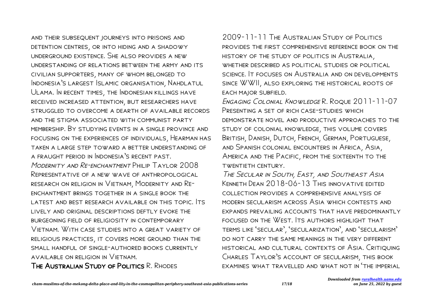and their subsequent journeys into prisons and detention centres, or into hiding and a shadowy underground existence. She also provides a new understanding of relations between the army and its civilian supporters, many of whom belonged to Indonesia's largest Islamic organisation, Nahdlatul Ulama. In recent times, the Indonesian killings have received increased attention, but researchers have struggled to overcome a dearth of available records and the stigma associated with communist party membership. By studying events in a single province and focusing on the experiences of individuals, Hearman has taken a large step toward a better understanding of a fraught period in Indonesia's recent past. MODERNITY AND RE-ENCHANTMENT PHILIP TAYLOR 2008 Representative of a new wave of anthropological research on religion in Vietnam, Modernity and Reenchantment brings together in a single book the LATEST AND BEST RESEARCH AVAILABLE ON THIS TOPIC. ITS lively and original descriptions deftly evoke the burgeoning field of religiosity in contemporary Vietnam. With case studies into a great variety of religious practices, it covers more ground than the small handful of single-authored books currently available on religion in Vietnam.

### The Australian Study of Politics R. Rhodes

2009-11-11 The Australian Study of Politics provides the first comprehensive reference book on the history of the study of politics in Australia, WHETHER DESCRIBED AS POLITICAL STUDIES OR POLITICAL science. It focuses on Australia and on developments since WWII, also exploring the historical roots of each major subfield.

Engaging Colonial Knowledge R. Roque 2011-11-07 PRESENTING A SET OF RICH CASE-STUDIES WHICH demonstrate novel and productive approaches to the study of colonial knowledge, this volume covers British, Danish, Dutch, French, German, Portuguese, and Spanish colonial encounters in Africa, Asia, America and the Pacific, from the sixteenth to the twentieth century.

The Secular in South, East, and Southeast Asia Kenneth Dean 2018-06-13 This innovative edited collection provides a comprehensive analysis of modern secularism across Asia which contests and expands prevailing accounts that have predominantly focused on the West. Its authors highlight that terms like 'secular', 'secularization', and 'secularism' do not carry the same meanings in the very different historical and cultural contexts of Asia. Critiquing Charles Taylor's account of secularism, this book examines what travelled and what not in 'the imperial